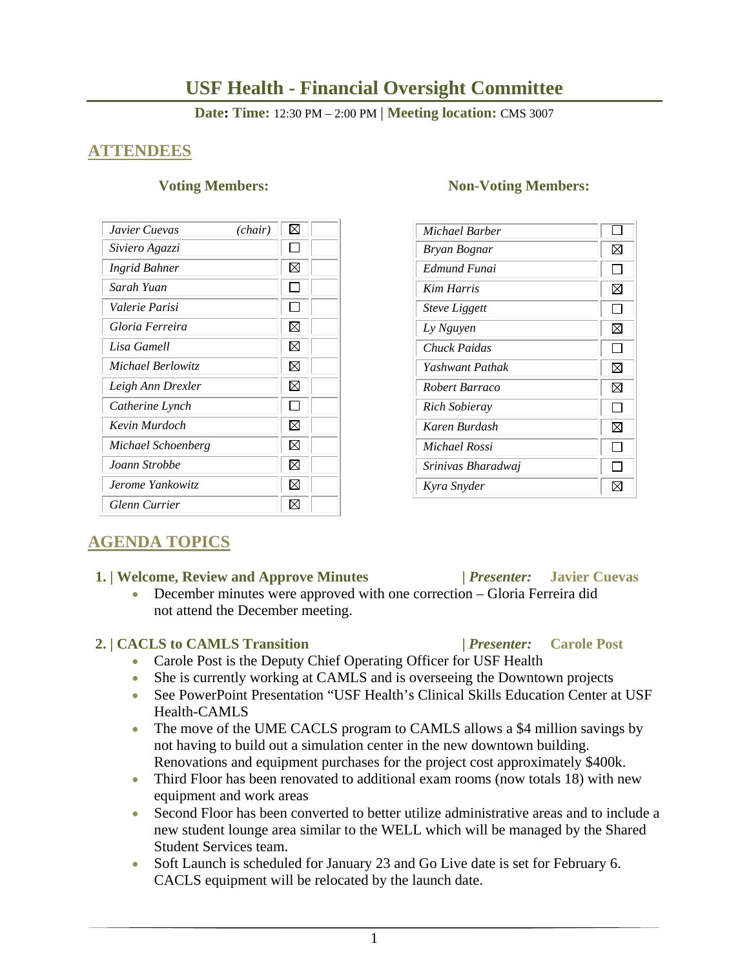# **USF Health - Financial Oversight Committee**

**Date: Time:** 12:30 PM – 2:00 PM | **Meeting location:** CMS 3007

# **ATTENDEES**

| Javier Cuevas        | (chair) | ⊠ |
|----------------------|---------|---|
| Siviero Agazzi       |         | L |
| <b>Ingrid Bahner</b> |         | ⊠ |
| Sarah Yuan           |         | L |
| Valerie Parisi       |         |   |
| Gloria Ferreira      |         | X |
| Lisa Gamell          |         | ⊠ |
| Michael Berlowitz    |         | ⊠ |
| Leigh Ann Drexler    |         | ⊠ |
| Catherine Lynch      |         | L |
| Kevin Murdoch        |         | ⊠ |
| Michael Schoenberg   |         | ⊠ |
| Joann Strobbe        |         | ⊠ |
| Jerome Yankowitz     |         | M |
| Glenn Currier        |         |   |

### **Voting Members:** Non-Voting Members:

| Michael Barber       |              |
|----------------------|--------------|
| Bryan Bognar         | ⊠            |
| Edmund Funai         |              |
| <b>Kim Harris</b>    | ⊠            |
| <b>Steve Liggett</b> |              |
| Ly Nguyen            | ⊠            |
| Chuck Paidas         | ΙI           |
| Yashwant Pathak      | ⊠            |
| Robert Barraco       | ⊠            |
| <b>Rich Sobieray</b> |              |
| Karen Burdash        | ⊠            |
| Michael Rossi        | $\mathsf{I}$ |
| Srinivas Bharadwaj   |              |
| Kyra Snyder          |              |

# **AGENDA TOPICS**

### **1. | Welcome, Review and Approve Minutes****|** *Presenter:* **Javier Cuevas**

 December minutes were approved with one correction – Gloria Ferreira did not attend the December meeting.

### **2. | CACLS to CAMLS Transition |** *Presenter:* **Carole Post**

- Carole Post is the Deputy Chief Operating Officer for USF Health
- She is currently working at CAMLS and is overseeing the Downtown projects
- See PowerPoint Presentation "USF Health's Clinical Skills Education Center at USF Health-CAMLS
- The move of the UME CACLS program to CAMLS allows a \$4 million savings by not having to build out a simulation center in the new downtown building. Renovations and equipment purchases for the project cost approximately \$400k.
- Third Floor has been renovated to additional exam rooms (now totals 18) with new equipment and work areas
- Second Floor has been converted to better utilize administrative areas and to include a new student lounge area similar to the WELL which will be managed by the Shared Student Services team.
- Soft Launch is scheduled for January 23 and Go Live date is set for February 6. CACLS equipment will be relocated by the launch date.
	- 1